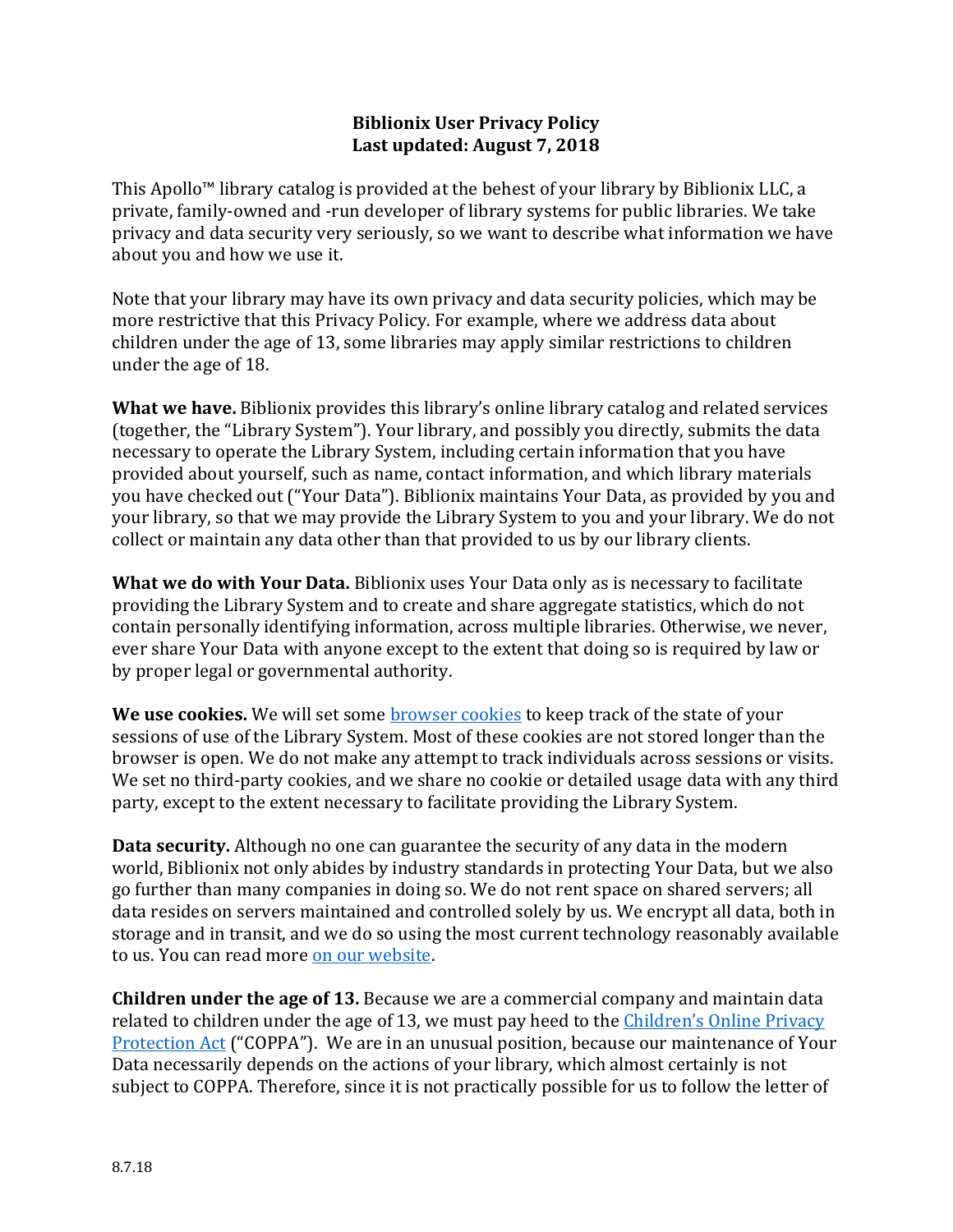## **Biblionix User Privacy Policy Last updated: August 7, 2018**

This Apollo™ library catalog is provided at the behest of your library by Biblionix LLC, a private, family-owned and -run developer of library systems for public libraries. We take privacy and data security very seriously, so we want to describe what information we have about you and how we use it.

Note that your library may have its own privacy and data security policies, which may be more restrictive that this Privacy Policy. For example, where we address data about children under the age of 13, some libraries may apply similar restrictions to children under the age of 18.

**What we have.** Biblionix provides this library's online library catalog and related services (together, the "Library System"). Your library, and possibly you directly, submits the data necessary to operate the Library System, including certain information that you have provided about yourself, such as name, contact information, and which library materials you have checked out ("Your Data"). Biblionix maintains Your Data, as provided by you and your library, so that we may provide the Library System to you and your library. We do not collect or maintain any data other than that provided to us by our library clients.

**What we do with Your Data.** Biblionix uses Your Data only as is necessary to facilitate providing the Library System and to create and share aggregate statistics, which do not contain personally identifying information, across multiple libraries. Otherwise, we never, ever share Your Data with anyone except to the extent that doing so is required by law or by proper legal or governmental authority.

**We use cookies.** We will set some **browser** cookies to keep track of the state of your sessions of use of the Library System. Most of these cookies are not stored longer than the browser is open. We do not make any attempt to track individuals across sessions or visits. We set no third-party cookies, and we share no cookie or detailed usage data with any third party, except to the extent necessary to facilitate providing the Library System.

**Data security.** Although no one can guarantee the security of any data in the modern world, Biblionix not only abides by industry standards in protecting Your Data, but we also go further than many companies in doing so. We do not rent space on shared servers; all data resides on servers maintained and controlled solely by us. We encrypt all data, both in storage and in transit, and we do so using the most current technology reasonably available to us. You can read mor[e on our website.](https://www.biblionix.com/about/security-and-privacy/)

**Children under the age of 13.** Because we are a commercial company and maintain data related to children under the age of 13, we must pay heed to the [Children's Online Privacy](https://www.ftc.gov/enforcement/rules/rulemaking-regulatory-reform-proceedings/childrens-online-privacy-protection-rule)  [Protection Act](https://www.ftc.gov/enforcement/rules/rulemaking-regulatory-reform-proceedings/childrens-online-privacy-protection-rule) ("COPPA"). We are in an unusual position, because our maintenance of Your Data necessarily depends on the actions of your library, which almost certainly is not subject to COPPA. Therefore, since it is not practically possible for us to follow the letter of